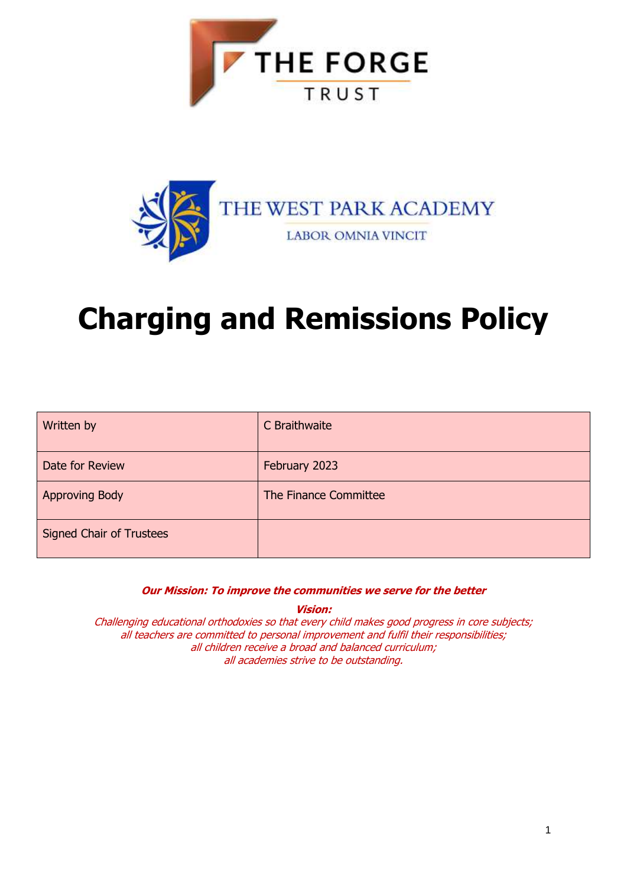



# **Charging and Remissions Policy**

| Written by                      | C Braithwaite         |
|---------------------------------|-----------------------|
| Date for Review                 | February 2023         |
| <b>Approving Body</b>           | The Finance Committee |
| <b>Signed Chair of Trustees</b> |                       |

**Our Mission: To improve the communities we serve for the better**

**Vision:**

Challenging educational orthodoxies so that every child makes good progress in core subjects; all teachers are committed to personal improvement and fulfil their responsibilities; all children receive a broad and balanced curriculum; all academies strive to be outstanding.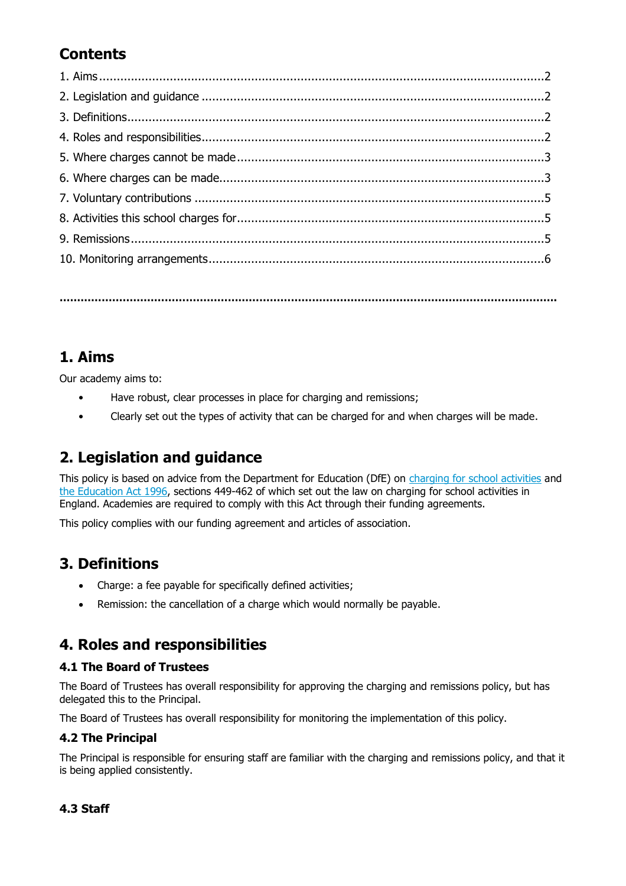## **Contents**

**…………………………………………………………………………………………………………………………….**

## **1. Aims**

Our academy aims to:

- Have robust, clear processes in place for charging and remissions;
- Clearly set out the types of activity that can be charged for and when charges will be made.

## **2. Legislation and guidance**

This policy is based on advice from the Department for Education (DfE) on [charging for school activities](https://www.gov.uk/government/publications/charging-for-school-activities) and [the Education Act 1996,](http://www.legislation.gov.uk/ukpga/1996/56/part/VI/chapter/III) sections 449-462 of which set out the law on charging for school activities in England. Academies are required to comply with this Act through their funding agreements.

This policy complies with our funding agreement and articles of association.

## **3. Definitions**

- Charge: a fee payable for specifically defined activities;
- Remission: the cancellation of a charge which would normally be payable.

## **4. Roles and responsibilities**

#### **4.1 The Board of Trustees**

The Board of Trustees has overall responsibility for approving the charging and remissions policy, but has delegated this to the Principal.

The Board of Trustees has overall responsibility for monitoring the implementation of this policy.

#### **4.2 The Principal**

The Principal is responsible for ensuring staff are familiar with the charging and remissions policy, and that it is being applied consistently.

#### **4.3 Staff**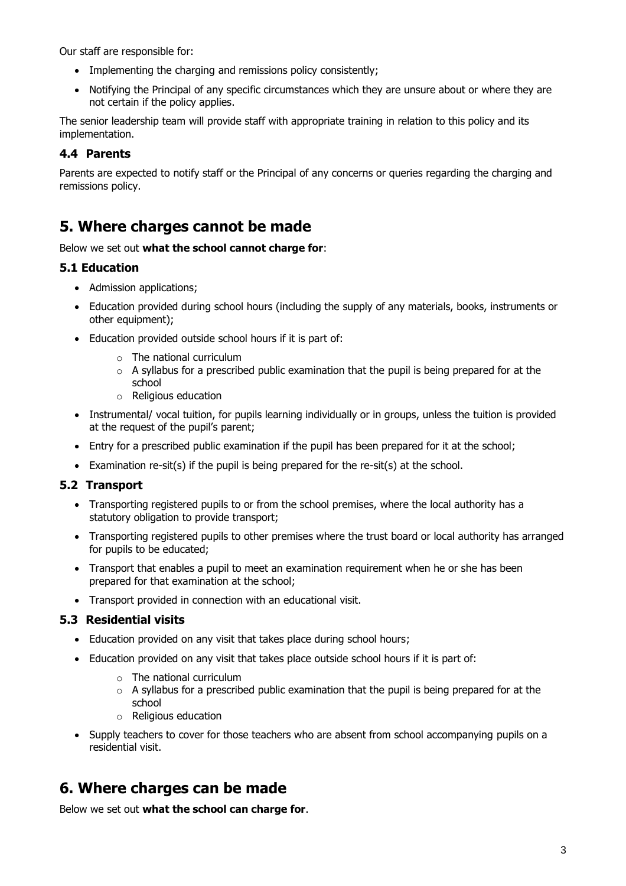Our staff are responsible for:

- Implementing the charging and remissions policy consistently;
- Notifying the Principal of any specific circumstances which they are unsure about or where they are not certain if the policy applies.

The senior leadership team will provide staff with appropriate training in relation to this policy and its implementation.

#### **4.4 Parents**

Parents are expected to notify staff or the Principal of any concerns or queries regarding the charging and remissions policy.

## **5. Where charges cannot be made**

#### Below we set out **what the school cannot charge for**:

#### **5.1 Education**

- Admission applications;
- Education provided during school hours (including the supply of any materials, books, instruments or other equipment);
- Education provided outside school hours if it is part of:
	- o The national curriculum
	- $\circ$  A syllabus for a prescribed public examination that the pupil is being prepared for at the school
	- o Religious education
- Instrumental/ vocal tuition, for pupils learning individually or in groups, unless the tuition is provided at the request of the pupil's parent;
- Entry for a prescribed public examination if the pupil has been prepared for it at the school;
- Examination re-sit(s) if the pupil is being prepared for the re-sit(s) at the school.

#### **5.2 Transport**

- Transporting registered pupils to or from the school premises, where the local authority has a statutory obligation to provide transport;
- Transporting registered pupils to other premises where the trust board or local authority has arranged for pupils to be educated;
- Transport that enables a pupil to meet an examination requirement when he or she has been prepared for that examination at the school;
- Transport provided in connection with an educational visit.

#### **5.3 Residential visits**

- Education provided on any visit that takes place during school hours;
- Education provided on any visit that takes place outside school hours if it is part of:
	- o The national curriculum
	- $\circ$  A syllabus for a prescribed public examination that the pupil is being prepared for at the school
	- o Religious education
- Supply teachers to cover for those teachers who are absent from school accompanying pupils on a residential visit.

## **6. Where charges can be made**

Below we set out **what the school can charge for**.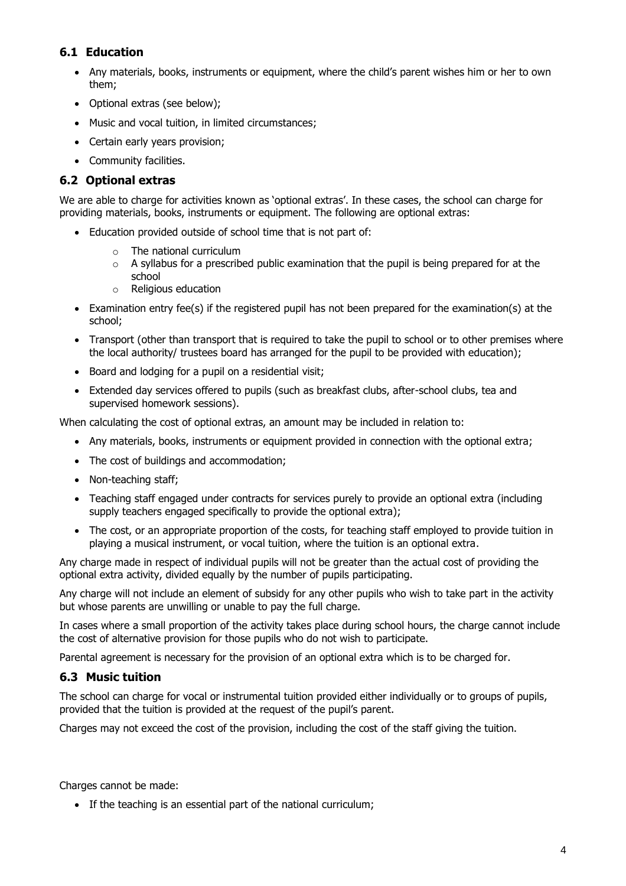#### **6.1 Education**

- Any materials, books, instruments or equipment, where the child's parent wishes him or her to own them;
- Optional extras (see below);
- Music and vocal tuition, in limited circumstances;
- Certain early years provision;
- Community facilities.

#### **6.2 Optional extras**

We are able to charge for activities known as 'optional extras'. In these cases, the school can charge for providing materials, books, instruments or equipment. The following are optional extras:

- Education provided outside of school time that is not part of:
	- o The national curriculum
	- $\circ$  A syllabus for a prescribed public examination that the pupil is being prepared for at the school
	- o Religious education
- Examination entry fee(s) if the registered pupil has not been prepared for the examination(s) at the school;
- Transport (other than transport that is required to take the pupil to school or to other premises where the local authority/ trustees board has arranged for the pupil to be provided with education);
- Board and lodging for a pupil on a residential visit;
- Extended day services offered to pupils (such as breakfast clubs, after-school clubs, tea and supervised homework sessions).

When calculating the cost of optional extras, an amount may be included in relation to:

- Any materials, books, instruments or equipment provided in connection with the optional extra;
- The cost of buildings and accommodation;
- Non-teaching staff;
- Teaching staff engaged under contracts for services purely to provide an optional extra (including supply teachers engaged specifically to provide the optional extra);
- The cost, or an appropriate proportion of the costs, for teaching staff employed to provide tuition in playing a musical instrument, or vocal tuition, where the tuition is an optional extra.

Any charge made in respect of individual pupils will not be greater than the actual cost of providing the optional extra activity, divided equally by the number of pupils participating.

Any charge will not include an element of subsidy for any other pupils who wish to take part in the activity but whose parents are unwilling or unable to pay the full charge.

In cases where a small proportion of the activity takes place during school hours, the charge cannot include the cost of alternative provision for those pupils who do not wish to participate.

Parental agreement is necessary for the provision of an optional extra which is to be charged for.

#### **6.3 Music tuition**

The school can charge for vocal or instrumental tuition provided either individually or to groups of pupils, provided that the tuition is provided at the request of the pupil's parent.

Charges may not exceed the cost of the provision, including the cost of the staff giving the tuition.

Charges cannot be made:

• If the teaching is an essential part of the national curriculum;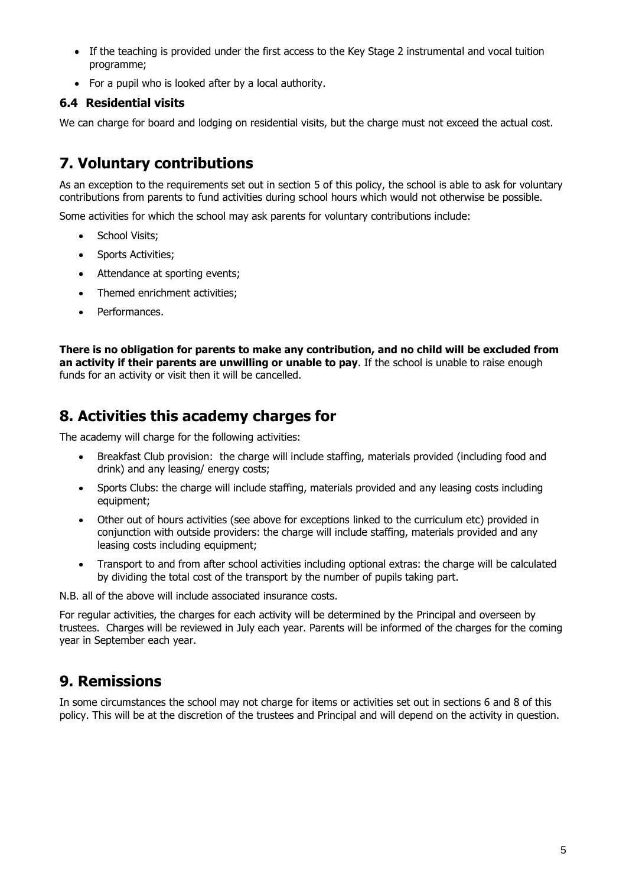- If the teaching is provided under the first access to the Key Stage 2 instrumental and vocal tuition programme;
- For a pupil who is looked after by a local authority.

#### **6.4 Residential visits**

We can charge for board and lodging on residential visits, but the charge must not exceed the actual cost.

## **7. Voluntary contributions**

As an exception to the requirements set out in section 5 of this policy, the school is able to ask for voluntary contributions from parents to fund activities during school hours which would not otherwise be possible.

Some activities for which the school may ask parents for voluntary contributions include:

- School Visits;
- Sports Activities;
- Attendance at sporting events;
- Themed enrichment activities;
- Performances.

**There is no obligation for parents to make any contribution, and no child will be excluded from an activity if their parents are unwilling or unable to pay**. If the school is unable to raise enough funds for an activity or visit then it will be cancelled.

## **8. Activities this academy charges for**

The academy will charge for the following activities:

- Breakfast Club provision: the charge will include staffing, materials provided (including food and drink) and any leasing/ energy costs;
- Sports Clubs: the charge will include staffing, materials provided and any leasing costs including equipment;
- Other out of hours activities (see above for exceptions linked to the curriculum etc) provided in conjunction with outside providers: the charge will include staffing, materials provided and any leasing costs including equipment;
- Transport to and from after school activities including optional extras: the charge will be calculated by dividing the total cost of the transport by the number of pupils taking part.

N.B. all of the above will include associated insurance costs.

For regular activities, the charges for each activity will be determined by the Principal and overseen by trustees. Charges will be reviewed in July each year. Parents will be informed of the charges for the coming year in September each year.

## **9. Remissions**

In some circumstances the school may not charge for items or activities set out in sections 6 and 8 of this policy. This will be at the discretion of the trustees and Principal and will depend on the activity in question.